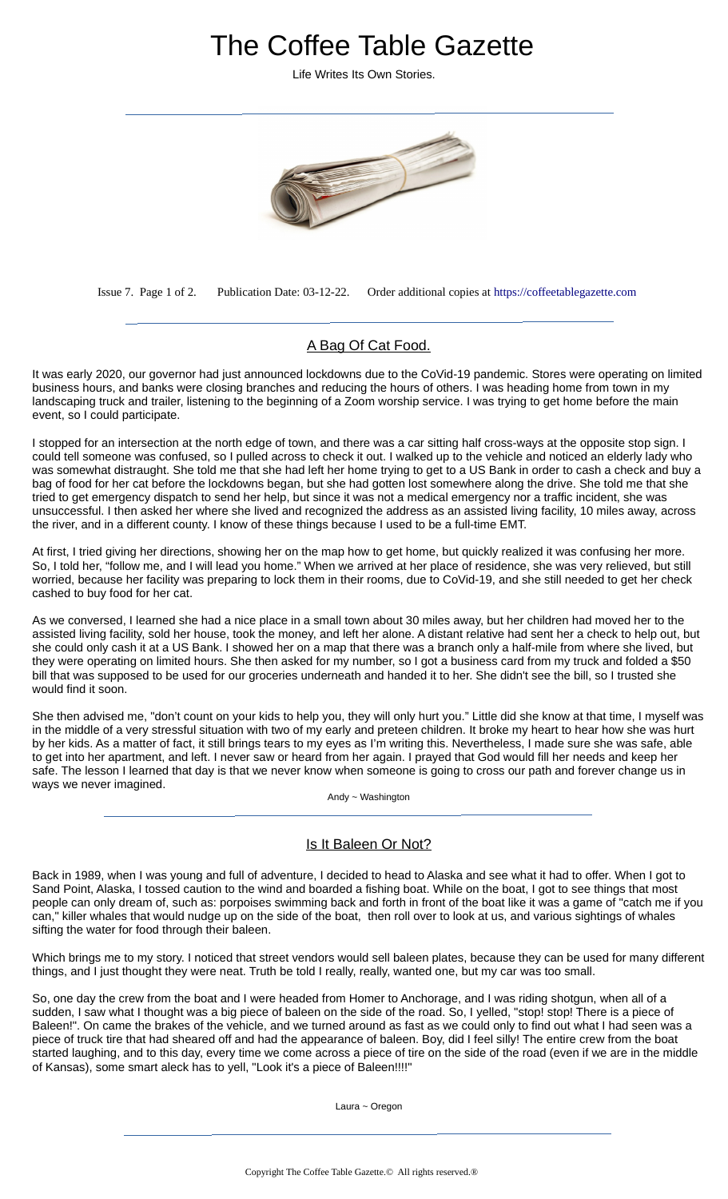# The Coffee Table Gazette

Life Writes Its Own Stories.



Issue 7. Page 1 of 2. Publication Date: 03-12-22. Order additional copies at [https://coffeetablegazette.com](https://coffeetablegazette.com/)

## A Bag Of Cat Food.

It was early 2020, our governor had just announced lockdowns due to the CoVid-19 pandemic. Stores were operating on limited business hours, and banks were closing branches and reducing the hours of others. I was heading home from town in my landscaping truck and trailer, listening to the beginning of a Zoom worship service. I was trying to get home before the main event, so I could participate.

I stopped for an intersection at the north edge of town, and there was a car sitting half cross-ways at the opposite stop sign. I could tell someone was confused, so I pulled across to check it out. I walked up to the vehicle and noticed an elderly lady who was somewhat distraught. She told me that she had left her home trying to get to a US Bank in order to cash a check and buy a bag of food for her cat before the lockdowns began, but she had gotten lost somewhere along the drive. She told me that she tried to get emergency dispatch to send her help, but since it was not a medical emergency nor a traffic incident, she was unsuccessful. I then asked her where she lived and recognized the address as an assisted living facility, 10 miles away, across the river, and in a different county. I know of these things because I used to be a full-time EMT.

At first, I tried giving her directions, showing her on the map how to get home, but quickly realized it was confusing her more. So, I told her, "follow me, and I will lead you home." When we arrived at her place of residence, she was very relieved, but still worried, because her facility was preparing to lock them in their rooms, due to CoVid-19, and she still needed to get her check cashed to buy food for her cat.

As we conversed, I learned she had a nice place in a small town about 30 miles away, but her children had moved her to the assisted living facility, sold her house, took the money, and left her alone. A distant relative had sent her a check to help out, but she could only cash it at a US Bank. I showed her on a map that there was a branch only a half-mile from where she lived, but they were operating on limited hours. She then asked for my number, so I got a business card from my truck and folded a \$50 bill that was supposed to be used for our groceries underneath and handed it to her. She didn't see the bill, so I trusted she would find it soon.

She then advised me, "don't count on your kids to help you, they will only hurt you." Little did she know at that time, I myself was in the middle of a very stressful situation with two of my early and preteen children. It broke my heart to hear how she was hurt by her kids. As a matter of fact, it still brings tears to my eyes as I'm writing this. Nevertheless, I made sure she was safe, able to get into her apartment, and left. I never saw or heard from her again. I prayed that God would fill her needs and keep her safe. The lesson I learned that day is that we never know when someone is going to cross our path and forever change us in ways we never imagined.

Andy ~ Washington

### Is It Baleen Or Not?

Back in 1989, when I was young and full of adventure, I decided to head to Alaska and see what it had to offer. When I got to Sand Point, Alaska, I tossed caution to the wind and boarded a fishing boat. While on the boat, I got to see things that most people can only dream of, such as: porpoises swimming back and forth in front of the boat like it was a game of "catch me if you can," killer whales that would nudge up on the side of the boat, then roll over to look at us, and various sightings of whales sifting the water for food through their baleen.

Which brings me to my story. I noticed that street vendors would sell baleen plates, because they can be used for many different things, and I just thought they were neat. Truth be told I really, really, wanted one, but my car was too small.

So, one day the crew from the boat and I were headed from Homer to Anchorage, and I was riding shotgun, when all of a sudden, I saw what I thought was a big piece of baleen on the side of the road. So, I yelled, "stop! stop! There is a piece of Baleen!". On came the brakes of the vehicle, and we turned around as fast as we could only to find out what I had seen was a piece of truck tire that had sheared off and had the appearance of baleen. Boy, did I feel silly! The entire crew from the boat started laughing, and to this day, every time we come across a piece of tire on the side of the road (even if we are in the middle of Kansas), some smart aleck has to yell, "Look it's a piece of Baleen!!!!"

Laura ~ Oregon